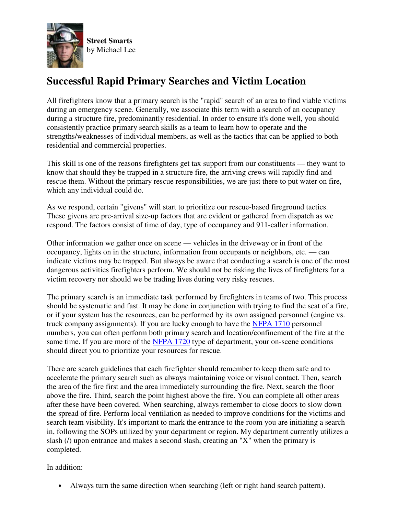

## **Successful Rapid Primary Searches and Victim Location**

All firefighters know that a primary search is the "rapid" search of an area to find viable victims during an emergency scene. Generally, we associate this term with a search of an occupancy during a structure fire, predominantly residential. In order to ensure it's done well, you should consistently practice primary search skills as a team to learn how to operate and the strengths/weaknesses of individual members, as well as the tactics that can be applied to both residential and commercial properties.

This skill is one of the reasons firefighters get tax support from our constituents — they want to know that should they be trapped in a structure fire, the arriving crews will rapidly find and rescue them. Without the primary rescue responsibilities, we are just there to put water on fire, which any individual could do.

As we respond, certain "givens" will start to prioritize our rescue-based fireground tactics. These givens are pre-arrival size-up factors that are evident or gathered from dispatch as we respond. The factors consist of time of day, type of occupancy and 911-caller information.

Other information we gather once on scene — vehicles in the driveway or in front of the occupancy, lights on in the structure, information from occupants or neighbors, etc. — can indicate victims may be trapped. But always be aware that conducting a search is one of the most dangerous activities firefighters perform. We should not be risking the lives of firefighters for a victim recovery nor should we be trading lives during very risky rescues.

The primary search is an immediate task performed by firefighters in teams of two. This process should be systematic and fast. It may be done in conjunction with trying to find the seat of a fire, or if your system has the resources, can be performed by its own assigned personnel (engine vs. truck company assignments). If you are lucky enough to have the NFPA 1710 personnel numbers, you can often perform both primary search and location/confinement of the fire at the same time. If you are more of the NFPA 1720 type of department, your on-scene conditions should direct you to prioritize your resources for rescue.

There are search guidelines that each firefighter should remember to keep them safe and to accelerate the primary search such as always maintaining voice or visual contact. Then, search the area of the fire first and the area immediately surrounding the fire. Next, search the floor above the fire. Third, search the point highest above the fire. You can complete all other areas after these have been covered. When searching, always remember to close doors to slow down the spread of fire. Perform local ventilation as needed to improve conditions for the victims and search team visibility. It's important to mark the entrance to the room you are initiating a search in, following the SOPs utilized by your department or region. My department currently utilizes a slash ( $\ell$ ) upon entrance and makes a second slash, creating an "X" when the primary is completed.

In addition:

• Always turn the same direction when searching (left or right hand search pattern).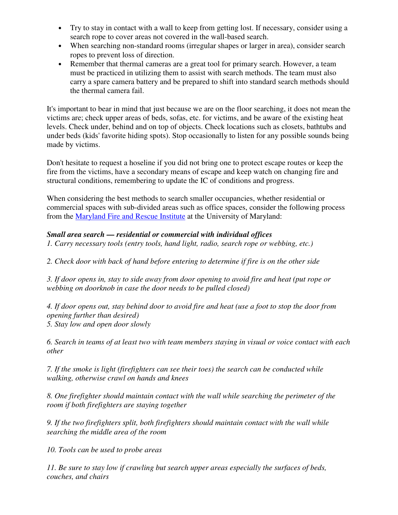- Try to stay in contact with a wall to keep from getting lost. If necessary, consider using a search rope to cover areas not covered in the wall-based search.
- When searching non-standard rooms (irregular shapes or larger in area), consider search ropes to prevent loss of direction.
- Remember that thermal cameras are a great tool for primary search. However, a team must be practiced in utilizing them to assist with search methods. The team must also carry a spare camera battery and be prepared to shift into standard search methods should the thermal camera fail.

It's important to bear in mind that just because we are on the floor searching, it does not mean the victims are; check upper areas of beds, sofas, etc. for victims, and be aware of the existing heat levels. Check under, behind and on top of objects. Check locations such as closets, bathtubs and under beds (kids' favorite hiding spots). Stop occasionally to listen for any possible sounds being made by victims.

Don't hesitate to request a hoseline if you did not bring one to protect escape routes or keep the fire from the victims, have a secondary means of escape and keep watch on changing fire and structural conditions, remembering to update the IC of conditions and progress.

When considering the best methods to search smaller occupancies, whether residential or commercial spaces with sub-divided areas such as office spaces, consider the following process from the Maryland Fire and Rescue Institute at the University of Maryland:

## *Small area search — residential or commercial with individual offices*

*1. Carry necessary tools (entry tools, hand light, radio, search rope or webbing, etc.)* 

*2. Check door with back of hand before entering to determine if fire is on the other side* 

*3. If door opens in, stay to side away from door opening to avoid fire and heat (put rope or webbing on doorknob in case the door needs to be pulled closed)* 

*4. If door opens out, stay behind door to avoid fire and heat (use a foot to stop the door from opening further than desired) 5. Stay low and open door slowly* 

*6. Search in teams of at least two with team members staying in visual or voice contact with each other* 

*7. If the smoke is light (firefighters can see their toes) the search can be conducted while walking, otherwise crawl on hands and knees* 

*8. One firefighter should maintain contact with the wall while searching the perimeter of the room if both firefighters are staying together* 

*9. If the two firefighters split, both firefighters should maintain contact with the wall while searching the middle area of the room* 

*10. Tools can be used to probe areas* 

*11. Be sure to stay low if crawling but search upper areas especially the surfaces of beds, couches, and chairs*